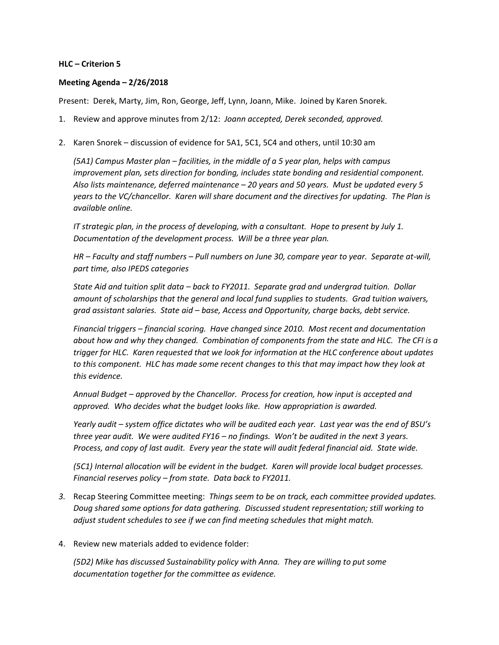## **HLC – Criterion 5**

## **Meeting Agenda – 2/26/2018**

Present: Derek, Marty, Jim, Ron, George, Jeff, Lynn, Joann, Mike. Joined by Karen Snorek.

- 1. Review and approve minutes from 2/12: *Joann accepted, Derek seconded, approved.*
- 2. Karen Snorek discussion of evidence for 5A1, 5C1, 5C4 and others, until 10:30 am

*(5A1) Campus Master plan – facilities, in the middle of a 5 year plan, helps with campus improvement plan, sets direction for bonding, includes state bonding and residential component. Also lists maintenance, deferred maintenance – 20 years and 50 years. Must be updated every 5 years to the VC/chancellor. Karen will share document and the directives for updating. The Plan is available online.*

*IT strategic plan, in the process of developing, with a consultant. Hope to present by July 1. Documentation of the development process. Will be a three year plan.*

*HR – Faculty and staff numbers – Pull numbers on June 30, compare year to year. Separate at-will, part time, also IPEDS categories*

*State Aid and tuition split data – back to FY2011. Separate grad and undergrad tuition. Dollar amount of scholarships that the general and local fund supplies to students. Grad tuition waivers, grad assistant salaries. State aid – base, Access and Opportunity, charge backs, debt service.*

*Financial triggers – financial scoring. Have changed since 2010. Most recent and documentation about how and why they changed. Combination of components from the state and HLC. The CFI is a trigger for HLC. Karen requested that we look for information at the HLC conference about updates to this component. HLC has made some recent changes to this that may impact how they look at this evidence.*

*Annual Budget – approved by the Chancellor. Process for creation, how input is accepted and approved. Who decides what the budget looks like. How appropriation is awarded.* 

*Yearly audit – system office dictates who will be audited each year. Last year was the end of BSU's three year audit. We were audited FY16 – no findings. Won't be audited in the next 3 years. Process, and copy of last audit. Every year the state will audit federal financial aid. State wide.* 

*(5C1) Internal allocation will be evident in the budget. Karen will provide local budget processes. Financial reserves policy – from state. Data back to FY2011.*

- *3.* Recap Steering Committee meeting: *Things seem to be on track, each committee provided updates. Doug shared some options for data gathering. Discussed student representation; still working to adjust student schedules to see if we can find meeting schedules that might match.*
- 4. Review new materials added to evidence folder:

*(5D2) Mike has discussed Sustainability policy with Anna. They are willing to put some documentation together for the committee as evidence.*